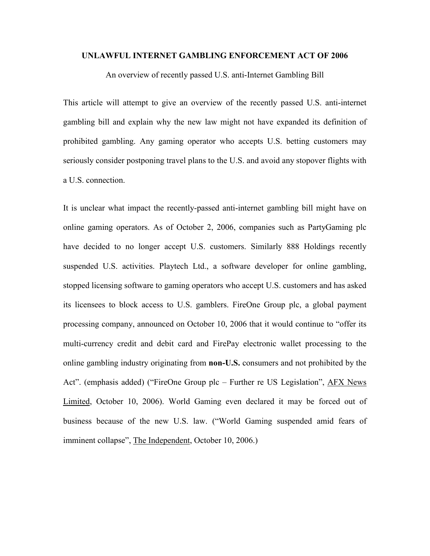#### **UNLAWFUL INTERNET GAMBLING ENFORCEMENT ACT OF 2006**

An overview of recently passed U.S. anti-Internet Gambling Bill

This article will attempt to give an overview of the recently passed U.S. anti-internet gambling bill and explain why the new law might not have expanded its definition of prohibited gambling. Any gaming operator who accepts U.S. betting customers may seriously consider postponing travel plans to the U.S. and avoid any stopover flights with a U.S. connection.

It is unclear what impact the recently-passed anti-internet gambling bill might have on online gaming operators. As of October 2, 2006, companies such as PartyGaming plc have decided to no longer accept U.S. customers. Similarly 888 Holdings recently suspended U.S. activities. Playtech Ltd., a software developer for online gambling, stopped licensing software to gaming operators who accept U.S. customers and has asked its licensees to block access to U.S. gamblers. FireOne Group plc, a global payment processing company, announced on October 10, 2006 that it would continue to "offer its multi-currency credit and debit card and FirePay electronic wallet processing to the online gambling industry originating from **non-U.S.** consumers and not prohibited by the Act". (emphasis added) ("FireOne Group plc – Further re US Legislation", AFX News Limited, October 10, 2006). World Gaming even declared it may be forced out of business because of the new U.S. law. ("World Gaming suspended amid fears of imminent collapse", The Independent, October 10, 2006.)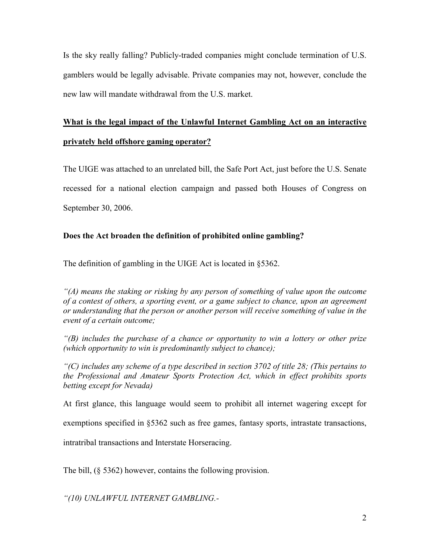Is the sky really falling? Publicly-traded companies might conclude termination of U.S. gamblers would be legally advisable. Private companies may not, however, conclude the new law will mandate withdrawal from the U.S. market.

# **What is the legal impact of the Unlawful Internet Gambling Act on an interactive privately held offshore gaming operator?**

The UIGE was attached to an unrelated bill, the Safe Port Act, just before the U.S. Senate recessed for a national election campaign and passed both Houses of Congress on September 30, 2006.

## **Does the Act broaden the definition of prohibited online gambling?**

The definition of gambling in the UIGE Act is located in §5362.

*"(A) means the staking or risking by any person of something of value upon the outcome of a contest of others, a sporting event, or a game subject to chance, upon an agreement or understanding that the person or another person will receive something of value in the event of a certain outcome;*

*"(B) includes the purchase of a chance or opportunity to win a lottery or other prize (which opportunity to win is predominantly subject to chance);*

*"(C) includes any scheme of a type described in section 3702 of title 28; (This pertains to the Professional and Amateur Sports Protection Act, which in effect prohibits sports betting except for Nevada)*

At first glance, this language would seem to prohibit all internet wagering except for

exemptions specified in §5362 such as free games, fantasy sports, intrastate transactions,

intratribal transactions and Interstate Horseracing.

The bill, (§ 5362) however, contains the following provision.

*"(10) UNLAWFUL INTERNET GAMBLING.-*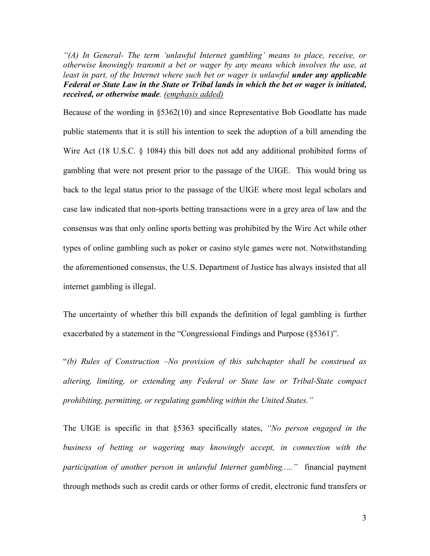*"(A) In General- The term 'unlawful Internet gambling' means to place, receive, or otherwise knowingly transmit a bet or wager by any means which involves the use, at*  least in part, of the Internet where such bet or wager is unlawful **under any applicable** *Federal or State Law in the State or Tribal lands in which the bet or wager is initiated, received, or otherwise made. (emphasis added)*

Because of the wording in §5362(10) and since Representative Bob Goodlatte has made public statements that it is still his intention to seek the adoption of a bill amending the Wire Act (18 U.S.C. § 1084) this bill does not add any additional prohibited forms of gambling that were not present prior to the passage of the UIGE. This would bring us back to the legal status prior to the passage of the UIGE where most legal scholars and case law indicated that non-sports betting transactions were in a grey area of law and the consensus was that only online sports betting was prohibited by the Wire Act while other types of online gambling such as poker or casino style games were not. Notwithstanding the aforementioned consensus, the U.S. Department of Justice has always insisted that all internet gambling is illegal.

The uncertainty of whether this bill expands the definition of legal gambling is further exacerbated by a statement in the "Congressional Findings and Purpose (§5361)".

"*(b) Rules of Construction –No provision of this subchapter shall be construed as altering, limiting, or extending any Federal or State law or Tribal-State compact prohibiting, permitting, or regulating gambling within the United States."*

The UIGE is specific in that §5363 specifically states, *"No person engaged in the business of betting or wagering may knowingly accept, in connection with the participation of another person in unlawful Internet gambling....."* financial payment through methods such as credit cards or other forms of credit, electronic fund transfers or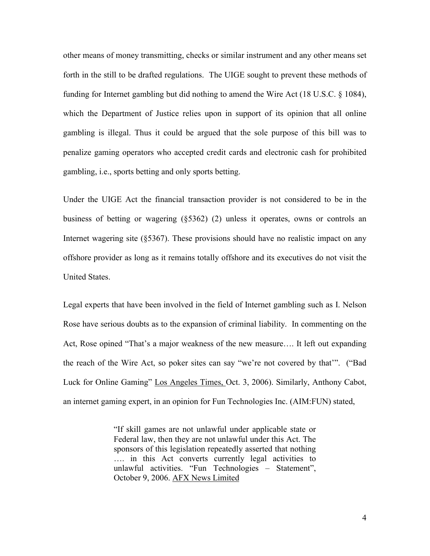other means of money transmitting, checks or similar instrument and any other means set forth in the still to be drafted regulations. The UIGE sought to prevent these methods of funding for Internet gambling but did nothing to amend the Wire Act (18 U.S.C. § 1084), which the Department of Justice relies upon in support of its opinion that all online gambling is illegal. Thus it could be argued that the sole purpose of this bill was to penalize gaming operators who accepted credit cards and electronic cash for prohibited gambling, i.e., sports betting and only sports betting.

Under the UIGE Act the financial transaction provider is not considered to be in the business of betting or wagering (§5362) (2) unless it operates, owns or controls an Internet wagering site (§5367). These provisions should have no realistic impact on any offshore provider as long as it remains totally offshore and its executives do not visit the United States.

Legal experts that have been involved in the field of Internet gambling such as I. Nelson Rose have serious doubts as to the expansion of criminal liability. In commenting on the Act, Rose opined "That's a major weakness of the new measure…. It left out expanding the reach of the Wire Act, so poker sites can say "we're not covered by that'". ("Bad Luck for Online Gaming" Los Angeles Times, Oct. 3, 2006). Similarly, Anthony Cabot, an internet gaming expert, in an opinion for Fun Technologies Inc. (AIM:FUN) stated,

> "If skill games are not unlawful under applicable state or Federal law, then they are not unlawful under this Act. The sponsors of this legislation repeatedly asserted that nothing …. in this Act converts currently legal activities to unlawful activities. "Fun Technologies – Statement", October 9, 2006. AFX News Limited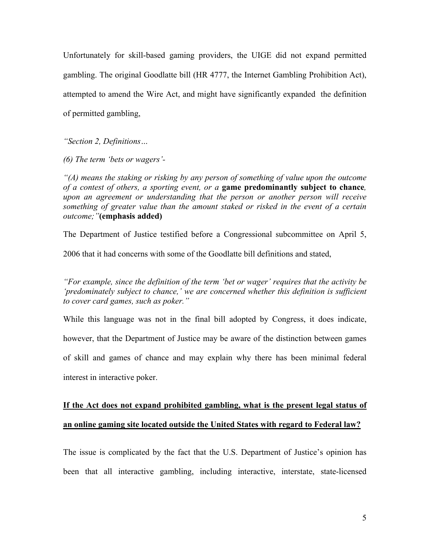Unfortunately for skill-based gaming providers, the UIGE did not expand permitted gambling. The original Goodlatte bill (HR 4777, the Internet Gambling Prohibition Act), attempted to amend the Wire Act, and might have significantly expanded the definition of permitted gambling,

*"Section 2, Definitions…*

*(6) The term 'bets or wagers'-*

*"(A) means the staking or risking by any person of something of value upon the outcome of a contest of others, a sporting event, or a* **game predominantly subject to chance***, upon an agreement or understanding that the person or another person will receive something of greater value than the amount staked or risked in the event of a certain outcome;"***(emphasis added)**

The Department of Justice testified before a Congressional subcommittee on April 5,

2006 that it had concerns with some of the Goodlatte bill definitions and stated,

*"For example, since the definition of the term 'bet or wager' requires that the activity be 'predominately subject to chance,' we are concerned whether this definition is sufficient to cover card games, such as poker."*

While this language was not in the final bill adopted by Congress, it does indicate, however, that the Department of Justice may be aware of the distinction between games of skill and games of chance and may explain why there has been minimal federal interest in interactive poker.

# **If the Act does not expand prohibited gambling, what is the present legal status of an online gaming site located outside the United States with regard to Federal law?**

The issue is complicated by the fact that the U.S. Department of Justice's opinion has been that all interactive gambling, including interactive, interstate, state-licensed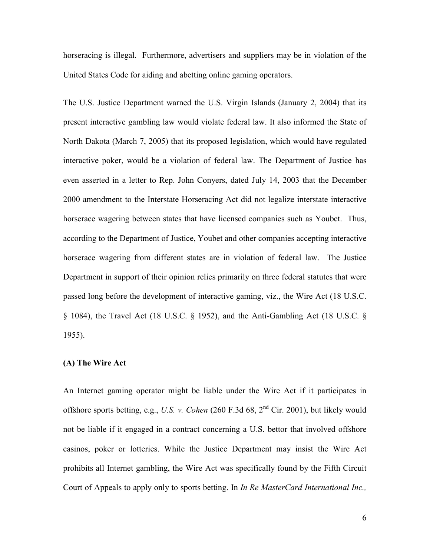horseracing is illegal. Furthermore, advertisers and suppliers may be in violation of the United States Code for aiding and abetting online gaming operators.

The U.S. Justice Department warned the U.S. Virgin Islands (January 2, 2004) that its present interactive gambling law would violate federal law. It also informed the State of North Dakota (March 7, 2005) that its proposed legislation, which would have regulated interactive poker, would be a violation of federal law. The Department of Justice has even asserted in a letter to Rep. John Conyers, dated July 14, 2003 that the December 2000 amendment to the Interstate Horseracing Act did not legalize interstate interactive horserace wagering between states that have licensed companies such as Youbet. Thus, according to the Department of Justice, Youbet and other companies accepting interactive horserace wagering from different states are in violation of federal law. The Justice Department in support of their opinion relies primarily on three federal statutes that were passed long before the development of interactive gaming, viz., the Wire Act (18 U.S.C. § 1084), the Travel Act (18 U.S.C. § 1952), and the Anti-Gambling Act (18 U.S.C. § 1955).

### **(A) The Wire Act**

An Internet gaming operator might be liable under the Wire Act if it participates in offshore sports betting, e.g., *U.S. v. Cohen* (260 F.3d 68, 2nd Cir. 2001), but likely would not be liable if it engaged in a contract concerning a U.S. bettor that involved offshore casinos, poker or lotteries. While the Justice Department may insist the Wire Act prohibits all Internet gambling, the Wire Act was specifically found by the Fifth Circuit Court of Appeals to apply only to sports betting. In *In Re MasterCard International Inc.,*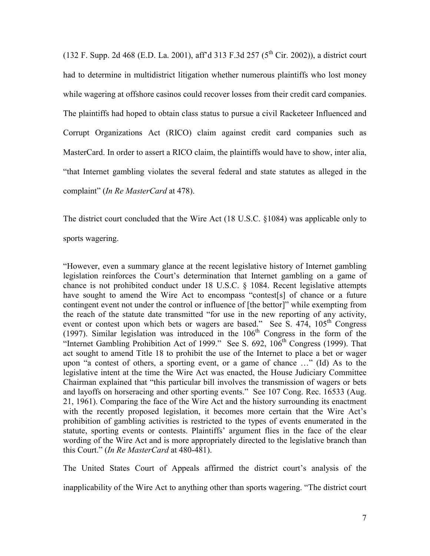(132 F. Supp. 2d 468 (E.D. La. 2001), aff'd 313 F.3d 257 ( $5<sup>th</sup>$  Cir. 2002)), a district court had to determine in multidistrict litigation whether numerous plaintiffs who lost money while wagering at offshore casinos could recover losses from their credit card companies. The plaintiffs had hoped to obtain class status to pursue a civil Racketeer Influenced and Corrupt Organizations Act (RICO) claim against credit card companies such as MasterCard. In order to assert a RICO claim, the plaintiffs would have to show, inter alia, "that Internet gambling violates the several federal and state statutes as alleged in the complaint" (*In Re MasterCard* at 478).

The district court concluded that the Wire Act (18 U.S.C. §1084) was applicable only to

sports wagering.

"However, even a summary glance at the recent legislative history of Internet gambling legislation reinforces the Court's determination that Internet gambling on a game of chance is not prohibited conduct under 18 U.S.C. § 1084. Recent legislative attempts have sought to amend the Wire Act to encompass "contest[s] of chance or a future contingent event not under the control or influence of [the bettor]" while exempting from the reach of the statute date transmitted "for use in the new reporting of any activity, event or contest upon which bets or wagers are based." See S.  $474$ ,  $105<sup>th</sup>$  Congress (1997). Similar legislation was introduced in the  $106<sup>th</sup>$  Congress in the form of the "Internet Gambling Prohibition Act of 1999." See S.  $692$ ,  $106<sup>th</sup>$  Congress (1999). That act sought to amend Title 18 to prohibit the use of the Internet to place a bet or wager upon "a contest of others, a sporting event, or a game of chance …" (Id) As to the legislative intent at the time the Wire Act was enacted, the House Judiciary Committee Chairman explained that "this particular bill involves the transmission of wagers or bets and layoffs on horseracing and other sporting events." See 107 Cong. Rec. 16533 (Aug. 21, 1961). Comparing the face of the Wire Act and the history surrounding its enactment with the recently proposed legislation, it becomes more certain that the Wire Act's prohibition of gambling activities is restricted to the types of events enumerated in the statute, sporting events or contests. Plaintiffs' argument flies in the face of the clear wording of the Wire Act and is more appropriately directed to the legislative branch than this Court." (*In Re MasterCard* at 480-481).

The United States Court of Appeals affirmed the district court's analysis of the

inapplicability of the Wire Act to anything other than sports wagering. "The district court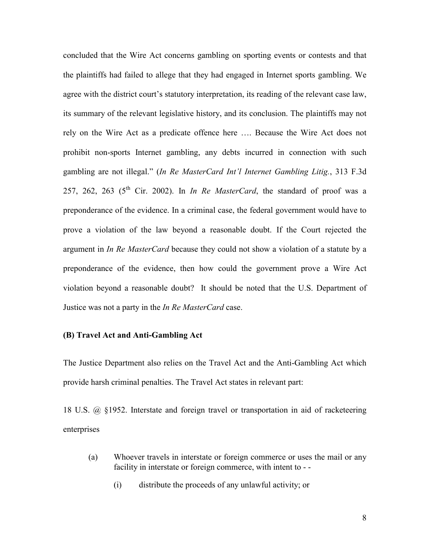concluded that the Wire Act concerns gambling on sporting events or contests and that the plaintiffs had failed to allege that they had engaged in Internet sports gambling. We agree with the district court's statutory interpretation, its reading of the relevant case law, its summary of the relevant legislative history, and its conclusion. The plaintiffs may not rely on the Wire Act as a predicate offence here …. Because the Wire Act does not prohibit non-sports Internet gambling, any debts incurred in connection with such gambling are not illegal." (*In Re MasterCard Int'l Internet Gambling Litig.*, 313 F.3d 257, 262, 263 ( $5<sup>th</sup>$  Cir. 2002). In *In Re MasterCard*, the standard of proof was a preponderance of the evidence. In a criminal case, the federal government would have to prove a violation of the law beyond a reasonable doubt. If the Court rejected the argument in *In Re MasterCard* because they could not show a violation of a statute by a preponderance of the evidence, then how could the government prove a Wire Act violation beyond a reasonable doubt? It should be noted that the U.S. Department of Justice was not a party in the *In Re MasterCard* case.

### **(B) Travel Act and Anti-Gambling Act**

The Justice Department also relies on the Travel Act and the Anti-Gambling Act which provide harsh criminal penalties. The Travel Act states in relevant part:

18 U.S. @ §1952. Interstate and foreign travel or transportation in aid of racketeering enterprises

- (a) Whoever travels in interstate or foreign commerce or uses the mail or any facility in interstate or foreign commerce, with intent to - -
	- (i) distribute the proceeds of any unlawful activity; or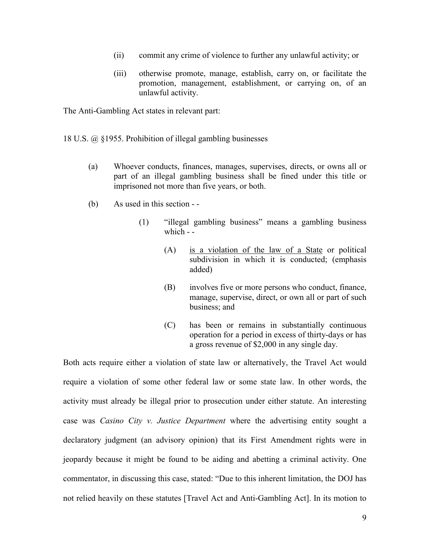- (ii) commit any crime of violence to further any unlawful activity; or
- (iii) otherwise promote, manage, establish, carry on, or facilitate the promotion, management, establishment, or carrying on, of an unlawful activity.

The Anti-Gambling Act states in relevant part:

- 18 U.S. @ §1955. Prohibition of illegal gambling businesses
	- (a) Whoever conducts, finances, manages, supervises, directs, or owns all or part of an illegal gambling business shall be fined under this title or imprisoned not more than five years, or both.
	- (b) As used in this section -
		- (1) "illegal gambling business" means a gambling business which - -
			- (A) is a violation of the law of a State or political subdivision in which it is conducted; (emphasis added)
			- (B) involves five or more persons who conduct, finance, manage, supervise, direct, or own all or part of such business; and
			- (C) has been or remains in substantially continuous operation for a period in excess of thirty-days or has a gross revenue of \$2,000 in any single day.

Both acts require either a violation of state law or alternatively, the Travel Act would require a violation of some other federal law or some state law. In other words, the activity must already be illegal prior to prosecution under either statute. An interesting case was *Casino City v. Justice Department* where the advertising entity sought a declaratory judgment (an advisory opinion) that its First Amendment rights were in jeopardy because it might be found to be aiding and abetting a criminal activity. One commentator, in discussing this case, stated: "Due to this inherent limitation, the DOJ has not relied heavily on these statutes [Travel Act and Anti-Gambling Act]. In its motion to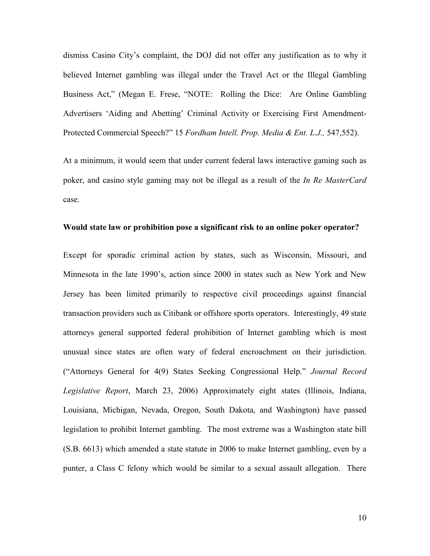dismiss Casino City's complaint, the DOJ did not offer any justification as to why it believed Internet gambling was illegal under the Travel Act or the Illegal Gambling Business Act," (Megan E. Frese, "NOTE: Rolling the Dice: Are Online Gambling Advertisers 'Aiding and Abetting' Criminal Activity or Exercising First Amendment-Protected Commercial Speech?" 15 *Fordham Intell. Prop. Media & Ent. L.J.,* 547,552).

At a minimum, it would seem that under current federal laws interactive gaming such as poker, and casino style gaming may not be illegal as a result of the *In Re MasterCard* case.

#### **Would state law or prohibition pose a significant risk to an online poker operator?**

Except for sporadic criminal action by states, such as Wisconsin, Missouri, and Minnesota in the late 1990's, action since 2000 in states such as New York and New Jersey has been limited primarily to respective civil proceedings against financial transaction providers such as Citibank or offshore sports operators. Interestingly, 49 state attorneys general supported federal prohibition of Internet gambling which is most unusual since states are often wary of federal encroachment on their jurisdiction. ("Attorneys General for 4(9) States Seeking Congressional Help." *Journal Record Legislative Report*, March 23, 2006) Approximately eight states (Illinois, Indiana, Louisiana, Michigan, Nevada, Oregon, South Dakota, and Washington) have passed legislation to prohibit Internet gambling. The most extreme was a Washington state bill (S.B. 6613) which amended a state statute in 2006 to make Internet gambling, even by a punter, a Class C felony which would be similar to a sexual assault allegation. There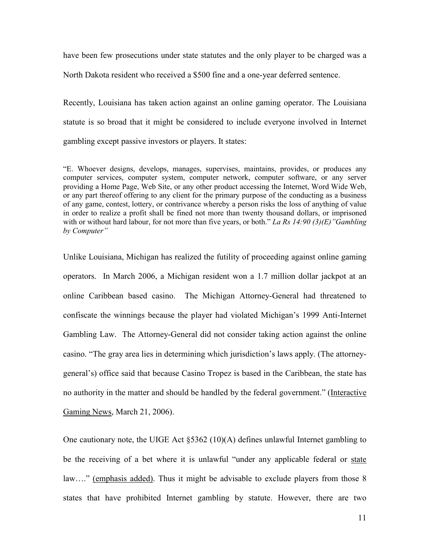have been few prosecutions under state statutes and the only player to be charged was a North Dakota resident who received a \$500 fine and a one-year deferred sentence.

Recently, Louisiana has taken action against an online gaming operator. The Louisiana statute is so broad that it might be considered to include everyone involved in Internet gambling except passive investors or players. It states:

"E. Whoever designs, develops, manages, supervises, maintains, provides, or produces any computer services, computer system, computer network, computer software, or any server providing a Home Page, Web Site, or any other product accessing the Internet, Word Wide Web, or any part thereof offering to any client for the primary purpose of the conducting as a business of any game, contest, lottery, or contrivance whereby a person risks the loss of anything of value in order to realize a profit shall be fined not more than twenty thousand dollars, or imprisoned with or without hard labour, for not more than five years, or both." *La Rs 14:90 (3)(E)"Gambling by Computer"*

Unlike Louisiana, Michigan has realized the futility of proceeding against online gaming operators. In March 2006, a Michigan resident won a 1.7 million dollar jackpot at an online Caribbean based casino. The Michigan Attorney-General had threatened to confiscate the winnings because the player had violated Michigan's 1999 Anti-Internet Gambling Law. The Attorney-General did not consider taking action against the online casino. "The gray area lies in determining which jurisdiction's laws apply. (The attorneygeneral's) office said that because Casino Tropez is based in the Caribbean, the state has no authority in the matter and should be handled by the federal government." (Interactive Gaming News, March 21, 2006).

One cautionary note, the UIGE Act §5362 (10)(A) defines unlawful Internet gambling to be the receiving of a bet where it is unlawful "under any applicable federal or state law...." (emphasis added). Thus it might be advisable to exclude players from those 8 states that have prohibited Internet gambling by statute. However, there are two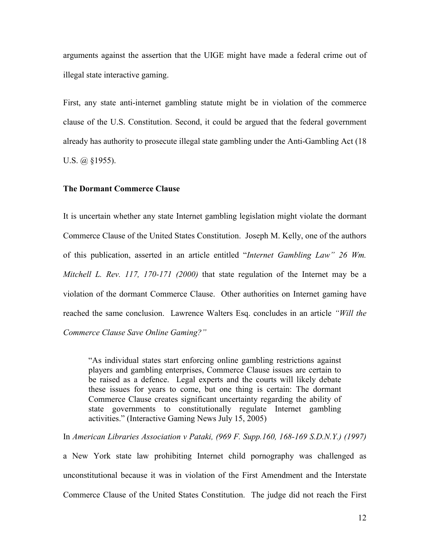arguments against the assertion that the UIGE might have made a federal crime out of illegal state interactive gaming.

First, any state anti-internet gambling statute might be in violation of the commerce clause of the U.S. Constitution. Second, it could be argued that the federal government already has authority to prosecute illegal state gambling under the Anti-Gambling Act (18 U.S.  $\omega$  §1955).

#### **The Dormant Commerce Clause**

It is uncertain whether any state Internet gambling legislation might violate the dormant Commerce Clause of the United States Constitution. Joseph M. Kelly, one of the authors of this publication, asserted in an article entitled "*Internet Gambling Law" 26 Wm. Mitchell L. Rev. 117, 170-171 (2000)* that state regulation of the Internet may be a violation of the dormant Commerce Clause. Other authorities on Internet gaming have reached the same conclusion. Lawrence Walters Esq. concludes in an article *"Will the Commerce Clause Save Online Gaming?"*

"As individual states start enforcing online gambling restrictions against players and gambling enterprises, Commerce Clause issues are certain to be raised as a defence. Legal experts and the courts will likely debate these issues for years to come, but one thing is certain: The dormant Commerce Clause creates significant uncertainty regarding the ability of state governments to constitutionally regulate Internet gambling activities." (Interactive Gaming News July 15, 2005)

In *American Libraries Association v Pataki, (969 F. Supp.160, 168-169 S.D.N.Y.) (1997)*

a New York state law prohibiting Internet child pornography was challenged as unconstitutional because it was in violation of the First Amendment and the Interstate Commerce Clause of the United States Constitution. The judge did not reach the First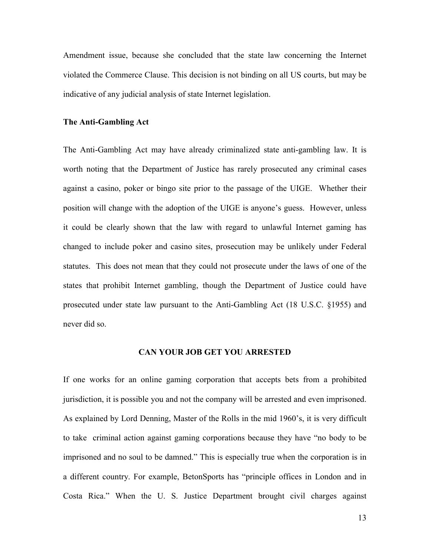Amendment issue, because she concluded that the state law concerning the Internet violated the Commerce Clause. This decision is not binding on all US courts, but may be indicative of any judicial analysis of state Internet legislation.

#### **The Anti-Gambling Act**

The Anti-Gambling Act may have already criminalized state anti-gambling law. It is worth noting that the Department of Justice has rarely prosecuted any criminal cases against a casino, poker or bingo site prior to the passage of the UIGE. Whether their position will change with the adoption of the UIGE is anyone's guess. However, unless it could be clearly shown that the law with regard to unlawful Internet gaming has changed to include poker and casino sites, prosecution may be unlikely under Federal statutes. This does not mean that they could not prosecute under the laws of one of the states that prohibit Internet gambling, though the Department of Justice could have prosecuted under state law pursuant to the Anti-Gambling Act (18 U.S.C. §1955) and never did so.

#### **CAN YOUR JOB GET YOU ARRESTED**

If one works for an online gaming corporation that accepts bets from a prohibited jurisdiction, it is possible you and not the company will be arrested and even imprisoned. As explained by Lord Denning, Master of the Rolls in the mid 1960's, it is very difficult to take criminal action against gaming corporations because they have "no body to be imprisoned and no soul to be damned." This is especially true when the corporation is in a different country. For example, BetonSports has "principle offices in London and in Costa Rica." When the U. S. Justice Department brought civil charges against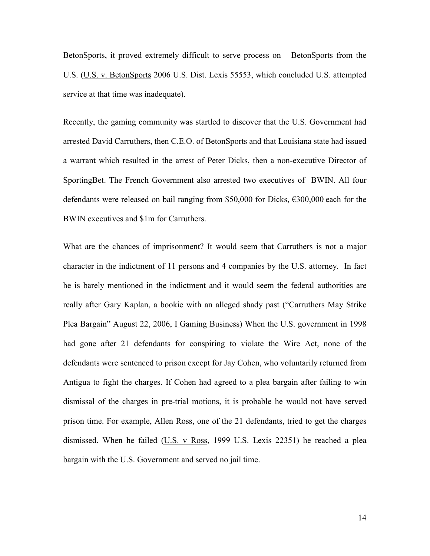BetonSports, it proved extremely difficult to serve process on BetonSports from the U.S. (U.S. v. BetonSports 2006 U.S. Dist. Lexis 55553, which concluded U.S. attempted service at that time was inadequate).

Recently, the gaming community was startled to discover that the U.S. Government had arrested David Carruthers, then C.E.O. of BetonSports and that Louisiana state had issued a warrant which resulted in the arrest of Peter Dicks, then a non-executive Director of SportingBet. The French Government also arrested two executives of BWIN. All four defendants were released on bail ranging from \$50,000 for Dicks, €300,000 each for the BWIN executives and \$1m for Carruthers.

What are the chances of imprisonment? It would seem that Carruthers is not a major character in the indictment of 11 persons and 4 companies by the U.S. attorney. In fact he is barely mentioned in the indictment and it would seem the federal authorities are really after Gary Kaplan, a bookie with an alleged shady past ("Carruthers May Strike Plea Bargain" August 22, 2006, I Gaming Business) When the U.S. government in 1998 had gone after 21 defendants for conspiring to violate the Wire Act, none of the defendants were sentenced to prison except for Jay Cohen, who voluntarily returned from Antigua to fight the charges. If Cohen had agreed to a plea bargain after failing to win dismissal of the charges in pre-trial motions, it is probable he would not have served prison time. For example, Allen Ross, one of the 21 defendants, tried to get the charges dismissed. When he failed (U.S. v Ross, 1999 U.S. Lexis 22351) he reached a plea bargain with the U.S. Government and served no jail time.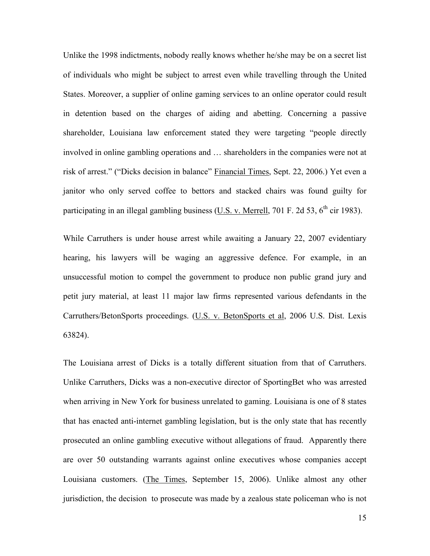Unlike the 1998 indictments, nobody really knows whether he/she may be on a secret list of individuals who might be subject to arrest even while travelling through the United States. Moreover, a supplier of online gaming services to an online operator could result in detention based on the charges of aiding and abetting. Concerning a passive shareholder, Louisiana law enforcement stated they were targeting "people directly involved in online gambling operations and … shareholders in the companies were not at risk of arrest." ("Dicks decision in balance" Financial Times, Sept. 22, 2006.) Yet even a janitor who only served coffee to bettors and stacked chairs was found guilty for participating in an illegal gambling business (U.S. v. Merrell, 701 F. 2d 53,  $6^{th}$  cir 1983).

While Carruthers is under house arrest while awaiting a January 22, 2007 evidentiary hearing, his lawyers will be waging an aggressive defence. For example, in an unsuccessful motion to compel the government to produce non public grand jury and petit jury material, at least 11 major law firms represented various defendants in the Carruthers/BetonSports proceedings. (U.S. v. BetonSports et al, 2006 U.S. Dist. Lexis 63824).

The Louisiana arrest of Dicks is a totally different situation from that of Carruthers. Unlike Carruthers, Dicks was a non-executive director of SportingBet who was arrested when arriving in New York for business unrelated to gaming. Louisiana is one of 8 states that has enacted anti-internet gambling legislation, but is the only state that has recently prosecuted an online gambling executive without allegations of fraud. Apparently there are over 50 outstanding warrants against online executives whose companies accept Louisiana customers. (The Times, September 15, 2006). Unlike almost any other jurisdiction, the decision to prosecute was made by a zealous state policeman who is not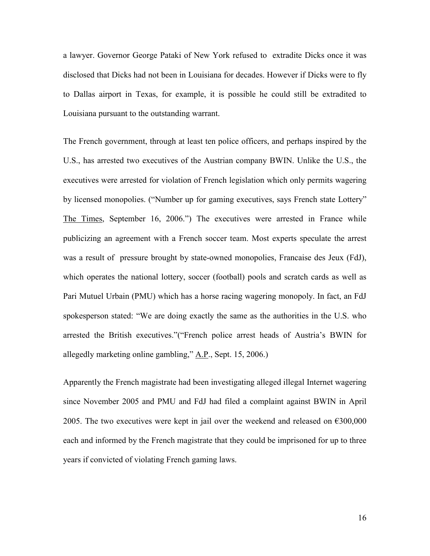a lawyer. Governor George Pataki of New York refused to extradite Dicks once it was disclosed that Dicks had not been in Louisiana for decades. However if Dicks were to fly to Dallas airport in Texas, for example, it is possible he could still be extradited to Louisiana pursuant to the outstanding warrant.

The French government, through at least ten police officers, and perhaps inspired by the U.S., has arrested two executives of the Austrian company BWIN. Unlike the U.S., the executives were arrested for violation of French legislation which only permits wagering by licensed monopolies. ("Number up for gaming executives, says French state Lottery" The Times, September 16, 2006.") The executives were arrested in France while publicizing an agreement with a French soccer team. Most experts speculate the arrest was a result of pressure brought by state-owned monopolies, Francaise des Jeux (FdJ), which operates the national lottery, soccer (football) pools and scratch cards as well as Pari Mutuel Urbain (PMU) which has a horse racing wagering monopoly. In fact, an FdJ spokesperson stated: "We are doing exactly the same as the authorities in the U.S. who arrested the British executives."("French police arrest heads of Austria's BWIN for allegedly marketing online gambling,"  $A.P.,$  Sept. 15, 2006.)

Apparently the French magistrate had been investigating alleged illegal Internet wagering since November 2005 and PMU and FdJ had filed a complaint against BWIN in April 2005. The two executives were kept in jail over the weekend and released on  $\epsilon$ 300,000 each and informed by the French magistrate that they could be imprisoned for up to three years if convicted of violating French gaming laws.